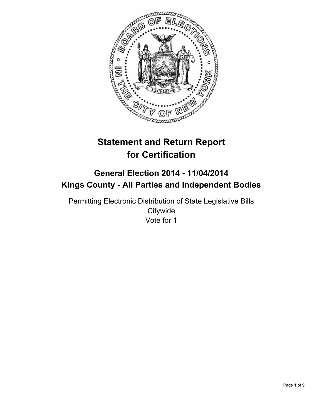

# **Statement and Return Report for Certification**

## **General Election 2014 - 11/04/2014 Kings County - All Parties and Independent Bodies**

Permitting Electronic Distribution of State Legislative Bills **Citywide** Vote for 1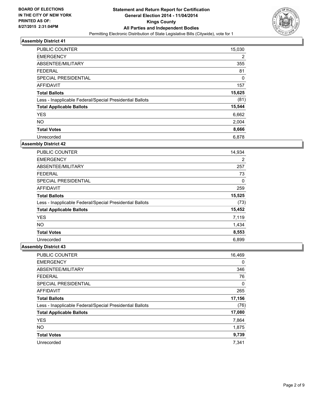

| PUBLIC COUNTER                                           | 15,030      |
|----------------------------------------------------------|-------------|
| <b>EMERGENCY</b>                                         | 2           |
| ABSENTEE/MILITARY                                        | 355         |
| <b>FEDERAL</b>                                           | 81          |
| SPECIAL PRESIDENTIAL                                     | $\mathbf 0$ |
| <b>AFFIDAVIT</b>                                         | 157         |
| <b>Total Ballots</b>                                     | 15,625      |
| Less - Inapplicable Federal/Special Presidential Ballots | (81)        |
| <b>Total Applicable Ballots</b>                          | 15,544      |
| <b>YES</b>                                               | 6,662       |
| <b>NO</b>                                                | 2,004       |
| <b>Total Votes</b>                                       | 8,666       |
| Unrecorded                                               | 6,878       |

#### **Assembly District 42**

| <b>PUBLIC COUNTER</b>                                    | 14,934 |
|----------------------------------------------------------|--------|
| <b>EMERGENCY</b>                                         | 2      |
| ABSENTEE/MILITARY                                        | 257    |
| <b>FEDERAL</b>                                           | 73     |
| SPECIAL PRESIDENTIAL                                     | 0      |
| <b>AFFIDAVIT</b>                                         | 259    |
| <b>Total Ballots</b>                                     | 15,525 |
| Less - Inapplicable Federal/Special Presidential Ballots | (73)   |
| <b>Total Applicable Ballots</b>                          | 15,452 |
| <b>YES</b>                                               | 7,119  |
| <b>NO</b>                                                | 1,434  |
| <b>Total Votes</b>                                       | 8,553  |
| Unrecorded                                               | 6,899  |

| PUBLIC COUNTER                                           | 16,469 |
|----------------------------------------------------------|--------|
| <b>EMERGENCY</b>                                         | 0      |
| ABSENTEE/MILITARY                                        | 346    |
| <b>FEDERAL</b>                                           | 76     |
| SPECIAL PRESIDENTIAL                                     | 0      |
| <b>AFFIDAVIT</b>                                         | 265    |
| <b>Total Ballots</b>                                     | 17,156 |
| Less - Inapplicable Federal/Special Presidential Ballots | (76)   |
| <b>Total Applicable Ballots</b>                          | 17,080 |
| <b>YES</b>                                               | 7,864  |
| <b>NO</b>                                                | 1,875  |
| <b>Total Votes</b>                                       | 9,739  |
| Unrecorded                                               | 7.341  |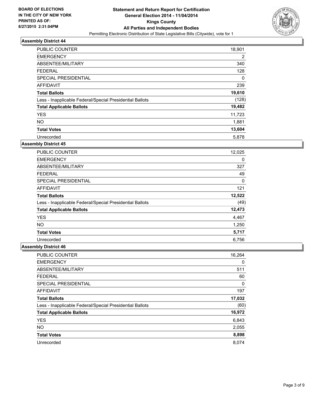

| PUBLIC COUNTER                                           | 18,901 |
|----------------------------------------------------------|--------|
| <b>EMERGENCY</b>                                         | 2      |
| ABSENTEE/MILITARY                                        | 340    |
| <b>FEDERAL</b>                                           | 128    |
| SPECIAL PRESIDENTIAL                                     | 0      |
| <b>AFFIDAVIT</b>                                         | 239    |
| <b>Total Ballots</b>                                     | 19,610 |
| Less - Inapplicable Federal/Special Presidential Ballots | (128)  |
| <b>Total Applicable Ballots</b>                          | 19,482 |
| <b>YES</b>                                               | 11,723 |
| <b>NO</b>                                                | 1,881  |
| <b>Total Votes</b>                                       | 13,604 |
| Unrecorded                                               | 5,878  |

#### **Assembly District 45**

| <b>PUBLIC COUNTER</b>                                    | 12,025 |
|----------------------------------------------------------|--------|
| <b>EMERGENCY</b>                                         | 0      |
| ABSENTEE/MILITARY                                        | 327    |
| <b>FEDERAL</b>                                           | 49     |
| <b>SPECIAL PRESIDENTIAL</b>                              | 0      |
| AFFIDAVIT                                                | 121    |
| <b>Total Ballots</b>                                     | 12,522 |
| Less - Inapplicable Federal/Special Presidential Ballots | (49)   |
| <b>Total Applicable Ballots</b>                          | 12,473 |
| <b>YES</b>                                               | 4,467  |
| NO.                                                      | 1,250  |
| <b>Total Votes</b>                                       | 5,717  |
| Unrecorded                                               | 6,756  |

| <b>PUBLIC COUNTER</b>                                    | 16,264 |
|----------------------------------------------------------|--------|
| <b>EMERGENCY</b>                                         | 0      |
| ABSENTEE/MILITARY                                        | 511    |
| <b>FEDERAL</b>                                           | 60     |
| SPECIAL PRESIDENTIAL                                     | 0      |
| <b>AFFIDAVIT</b>                                         | 197    |
| <b>Total Ballots</b>                                     | 17,032 |
| Less - Inapplicable Federal/Special Presidential Ballots | (60)   |
| <b>Total Applicable Ballots</b>                          | 16,972 |
| <b>YES</b>                                               | 6,843  |
| <b>NO</b>                                                | 2,055  |
| <b>Total Votes</b>                                       | 8,898  |
| Unrecorded                                               | 8.074  |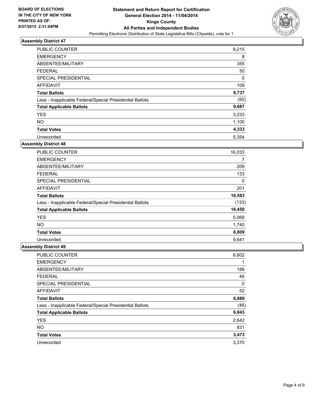

| PUBLIC COUNTER                                           | 9,215 |
|----------------------------------------------------------|-------|
| <b>EMERGENCY</b>                                         | 8     |
| ABSENTEE/MILITARY                                        | 355   |
| <b>FEDERAL</b>                                           | 50    |
| SPECIAL PRESIDENTIAL                                     | 0     |
| <b>AFFIDAVIT</b>                                         | 109   |
| <b>Total Ballots</b>                                     | 9,737 |
| Less - Inapplicable Federal/Special Presidential Ballots | (50)  |
| <b>Total Applicable Ballots</b>                          | 9,687 |
| <b>YES</b>                                               | 3,233 |
| <b>NO</b>                                                | 1,100 |
| <b>Total Votes</b>                                       | 4,333 |
| Unrecorded                                               | 5.354 |

#### **Assembly District 48**

| <b>PUBLIC COUNTER</b>                                    | 16,033 |
|----------------------------------------------------------|--------|
| <b>EMERGENCY</b>                                         | 7      |
| ABSENTEE/MILITARY                                        | 209    |
| <b>FEDERAL</b>                                           | 133    |
| SPECIAL PRESIDENTIAL                                     | 0      |
| AFFIDAVIT                                                | 201    |
| <b>Total Ballots</b>                                     | 16,583 |
| Less - Inapplicable Federal/Special Presidential Ballots | (133)  |
| <b>Total Applicable Ballots</b>                          | 16,450 |
| <b>YES</b>                                               | 5,069  |
| NO.                                                      | 1,740  |
| <b>Total Votes</b>                                       | 6,809  |
| Unrecorded                                               | 9,641  |

| <b>PUBLIC COUNTER</b>                                    | 6,602 |
|----------------------------------------------------------|-------|
| <b>EMERGENCY</b>                                         |       |
| ABSENTEE/MILITARY                                        | 188   |
| <b>FEDERAL</b>                                           | 46    |
| SPECIAL PRESIDENTIAL                                     | 0     |
| <b>AFFIDAVIT</b>                                         | 52    |
| <b>Total Ballots</b>                                     | 6,889 |
| Less - Inapplicable Federal/Special Presidential Ballots | (46)  |
| <b>Total Applicable Ballots</b>                          | 6,843 |
| <b>YES</b>                                               | 2,642 |
| <b>NO</b>                                                | 831   |
| <b>Total Votes</b>                                       | 3,473 |
| Unrecorded                                               | 3,370 |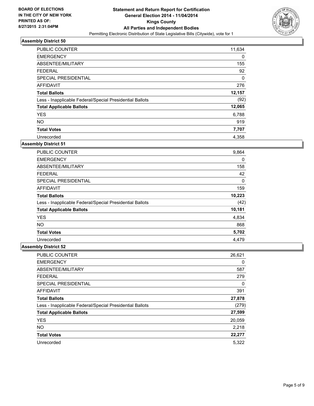

| <b>PUBLIC COUNTER</b>                                    | 11,634 |
|----------------------------------------------------------|--------|
| <b>EMERGENCY</b>                                         | 0      |
| ABSENTEE/MILITARY                                        | 155    |
| <b>FEDERAL</b>                                           | 92     |
| SPECIAL PRESIDENTIAL                                     | 0      |
| <b>AFFIDAVIT</b>                                         | 276    |
| <b>Total Ballots</b>                                     | 12,157 |
| Less - Inapplicable Federal/Special Presidential Ballots | (92)   |
| <b>Total Applicable Ballots</b>                          | 12,065 |
| <b>YES</b>                                               | 6,788  |
| <b>NO</b>                                                | 919    |
| <b>Total Votes</b>                                       | 7,707  |
| Unrecorded                                               | 4,358  |

#### **Assembly District 51**

| <b>PUBLIC COUNTER</b>                                    | 9,864  |
|----------------------------------------------------------|--------|
| <b>EMERGENCY</b>                                         | 0      |
| ABSENTEE/MILITARY                                        | 158    |
| <b>FEDERAL</b>                                           | 42     |
| <b>SPECIAL PRESIDENTIAL</b>                              | 0      |
| AFFIDAVIT                                                | 159    |
| <b>Total Ballots</b>                                     | 10,223 |
| Less - Inapplicable Federal/Special Presidential Ballots | (42)   |
| <b>Total Applicable Ballots</b>                          | 10,181 |
| <b>YES</b>                                               | 4,834  |
| <b>NO</b>                                                | 868    |
| <b>Total Votes</b>                                       | 5,702  |
| Unrecorded                                               | 4,479  |

| <b>PUBLIC COUNTER</b>                                    | 26,621 |
|----------------------------------------------------------|--------|
| <b>EMERGENCY</b>                                         | 0      |
| ABSENTEE/MILITARY                                        | 587    |
| <b>FEDERAL</b>                                           | 279    |
| SPECIAL PRESIDENTIAL                                     | 0      |
| <b>AFFIDAVIT</b>                                         | 391    |
| <b>Total Ballots</b>                                     | 27,878 |
| Less - Inapplicable Federal/Special Presidential Ballots | (279)  |
| <b>Total Applicable Ballots</b>                          | 27,599 |
| <b>YES</b>                                               | 20,059 |
| <b>NO</b>                                                | 2,218  |
| <b>Total Votes</b>                                       | 22,277 |
| Unrecorded                                               | 5.322  |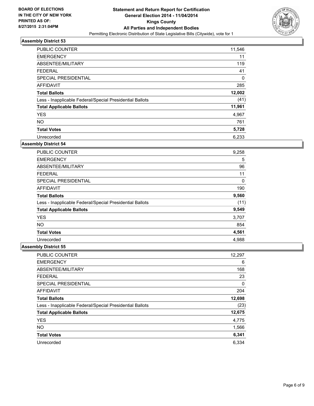

| PUBLIC COUNTER                                           | 11,546 |
|----------------------------------------------------------|--------|
| <b>EMERGENCY</b>                                         | 11     |
| ABSENTEE/MILITARY                                        | 119    |
| <b>FEDERAL</b>                                           | 41     |
| SPECIAL PRESIDENTIAL                                     | 0      |
| AFFIDAVIT                                                | 285    |
| <b>Total Ballots</b>                                     | 12,002 |
| Less - Inapplicable Federal/Special Presidential Ballots | (41)   |
| <b>Total Applicable Ballots</b>                          | 11,961 |
| <b>YES</b>                                               | 4,967  |
| <b>NO</b>                                                | 761    |
| <b>Total Votes</b>                                       | 5,728  |
| Unrecorded                                               | 6,233  |

#### **Assembly District 54**

| <b>PUBLIC COUNTER</b>                                    | 9,258 |
|----------------------------------------------------------|-------|
| <b>EMERGENCY</b>                                         | 5     |
| ABSENTEE/MILITARY                                        | 96    |
| <b>FEDERAL</b>                                           | 11    |
| <b>SPECIAL PRESIDENTIAL</b>                              | 0     |
| AFFIDAVIT                                                | 190   |
| <b>Total Ballots</b>                                     | 9,560 |
| Less - Inapplicable Federal/Special Presidential Ballots | (11)  |
| <b>Total Applicable Ballots</b>                          | 9,549 |
| <b>YES</b>                                               | 3,707 |
| NO.                                                      | 854   |
| <b>Total Votes</b>                                       | 4,561 |
| Unrecorded                                               | 4,988 |

| <b>PUBLIC COUNTER</b>                                    | 12,297 |
|----------------------------------------------------------|--------|
| <b>EMERGENCY</b>                                         | 6      |
| ABSENTEE/MILITARY                                        | 168    |
| <b>FEDERAL</b>                                           | 23     |
| SPECIAL PRESIDENTIAL                                     | 0      |
| <b>AFFIDAVIT</b>                                         | 204    |
| <b>Total Ballots</b>                                     | 12,698 |
| Less - Inapplicable Federal/Special Presidential Ballots | (23)   |
| <b>Total Applicable Ballots</b>                          | 12,675 |
| <b>YES</b>                                               | 4,775  |
| <b>NO</b>                                                | 1,566  |
| <b>Total Votes</b>                                       | 6,341  |
| Unrecorded                                               | 6.334  |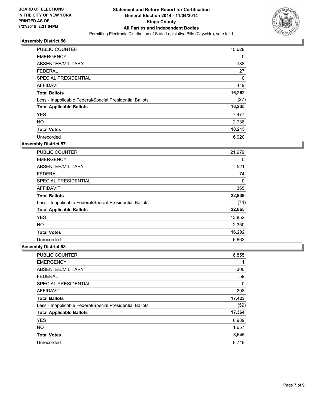

| <b>PUBLIC COUNTER</b>                                    | 15,628 |
|----------------------------------------------------------|--------|
| <b>EMERGENCY</b>                                         | 0      |
| ABSENTEE/MILITARY                                        | 188    |
| <b>FEDERAL</b>                                           | 27     |
| SPECIAL PRESIDENTIAL                                     | 0      |
| AFFIDAVIT                                                | 419    |
| <b>Total Ballots</b>                                     | 16,262 |
| Less - Inapplicable Federal/Special Presidential Ballots | (27)   |
| <b>Total Applicable Ballots</b>                          | 16,235 |
| <b>YES</b>                                               | 7,477  |
| <b>NO</b>                                                | 2,738  |
| <b>Total Votes</b>                                       | 10,215 |
| Unrecorded                                               | 6,020  |

#### **Assembly District 57**

| <b>PUBLIC COUNTER</b>                                    | 21,979 |
|----------------------------------------------------------|--------|
| <b>EMERGENCY</b>                                         | 0      |
| ABSENTEE/MILITARY                                        | 521    |
| <b>FEDERAL</b>                                           | 74     |
| <b>SPECIAL PRESIDENTIAL</b>                              | 0      |
| AFFIDAVIT                                                | 365    |
| <b>Total Ballots</b>                                     | 22,939 |
| Less - Inapplicable Federal/Special Presidential Ballots | (74)   |
| <b>Total Applicable Ballots</b>                          | 22,865 |
| <b>YES</b>                                               | 13,852 |
| NO.                                                      | 2,350  |
| <b>Total Votes</b>                                       | 16,202 |
| Unrecorded                                               | 6,663  |

| PUBLIC COUNTER                                           | 16,855 |
|----------------------------------------------------------|--------|
| <b>EMERGENCY</b>                                         |        |
| ABSENTEE/MILITARY                                        | 300    |
| <b>FEDERAL</b>                                           | 59     |
| SPECIAL PRESIDENTIAL                                     | 0      |
| <b>AFFIDAVIT</b>                                         | 208    |
| <b>Total Ballots</b>                                     | 17,423 |
| Less - Inapplicable Federal/Special Presidential Ballots | (59)   |
| <b>Total Applicable Ballots</b>                          | 17,364 |
| <b>YES</b>                                               | 6,989  |
| <b>NO</b>                                                | 1,657  |
| <b>Total Votes</b>                                       | 8,646  |
| Unrecorded                                               | 8,718  |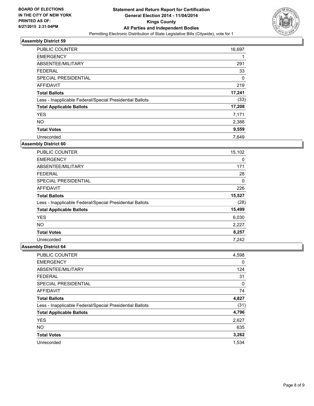

| PUBLIC COUNTER                                           | 16,697 |
|----------------------------------------------------------|--------|
| <b>EMERGENCY</b>                                         |        |
| ABSENTEE/MILITARY                                        | 291    |
| <b>FEDERAL</b>                                           | 33     |
| SPECIAL PRESIDENTIAL                                     | 0      |
| <b>AFFIDAVIT</b>                                         | 219    |
| <b>Total Ballots</b>                                     | 17,241 |
| Less - Inapplicable Federal/Special Presidential Ballots | (33)   |
| <b>Total Applicable Ballots</b>                          | 17,208 |
| <b>YES</b>                                               | 7,171  |
| <b>NO</b>                                                | 2,388  |
| <b>Total Votes</b>                                       | 9,559  |
| Unrecorded                                               | 7.649  |

#### **Assembly District 60**

| <b>PUBLIC COUNTER</b>                                    | 15,102 |
|----------------------------------------------------------|--------|
| <b>EMERGENCY</b>                                         | 0      |
| ABSENTEE/MILITARY                                        | 171    |
| <b>FEDERAL</b>                                           | 28     |
| SPECIAL PRESIDENTIAL                                     | 0      |
| <b>AFFIDAVIT</b>                                         | 226    |
| <b>Total Ballots</b>                                     | 15,527 |
| Less - Inapplicable Federal/Special Presidential Ballots | (28)   |
| <b>Total Applicable Ballots</b>                          | 15,499 |
| <b>YES</b>                                               | 6,030  |
| NO.                                                      | 2,227  |
| <b>Total Votes</b>                                       | 8,257  |
| Unrecorded                                               | 7,242  |

| PUBLIC COUNTER                                           | 4,598 |
|----------------------------------------------------------|-------|
| <b>EMERGENCY</b>                                         | 0     |
| ABSENTEE/MILITARY                                        | 124   |
| <b>FEDERAL</b>                                           | 31    |
| SPECIAL PRESIDENTIAL                                     | 0     |
| <b>AFFIDAVIT</b>                                         | 74    |
| <b>Total Ballots</b>                                     | 4,827 |
| Less - Inapplicable Federal/Special Presidential Ballots | (31)  |
| <b>Total Applicable Ballots</b>                          | 4,796 |
| <b>YES</b>                                               | 2,627 |
| <b>NO</b>                                                | 635   |
| <b>Total Votes</b>                                       | 3,262 |
| Unrecorded                                               | 1.534 |